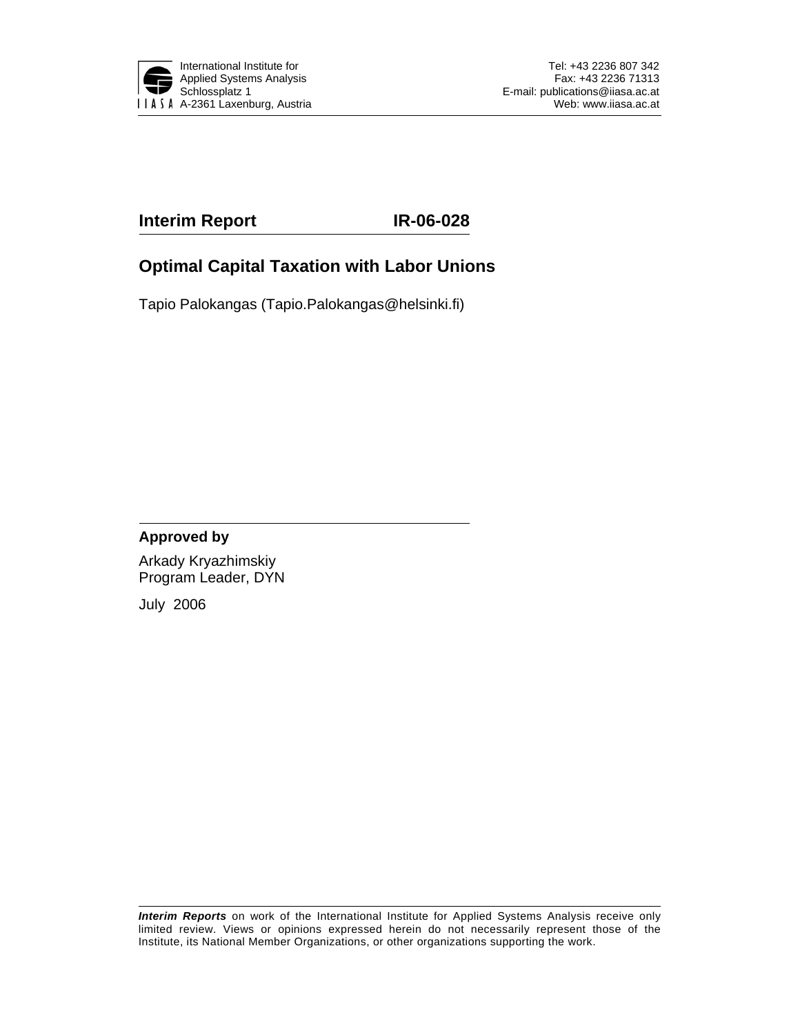

### **Interim Report IR-06-028**

### **Optimal Capital Taxation with Labor Unions**

Tapio Palokangas (Tapio.Palokangas@helsinki.fi)

#### **Approved by**

Arkady Kryazhimskiy Program Leader, DYN

July 2006

*Interim Reports* on work of the International Institute for Applied Systems Analysis receive only limited review. Views or opinions expressed herein do not necessarily represent those of the Institute, its National Member Organizations, or other organizations supporting the work.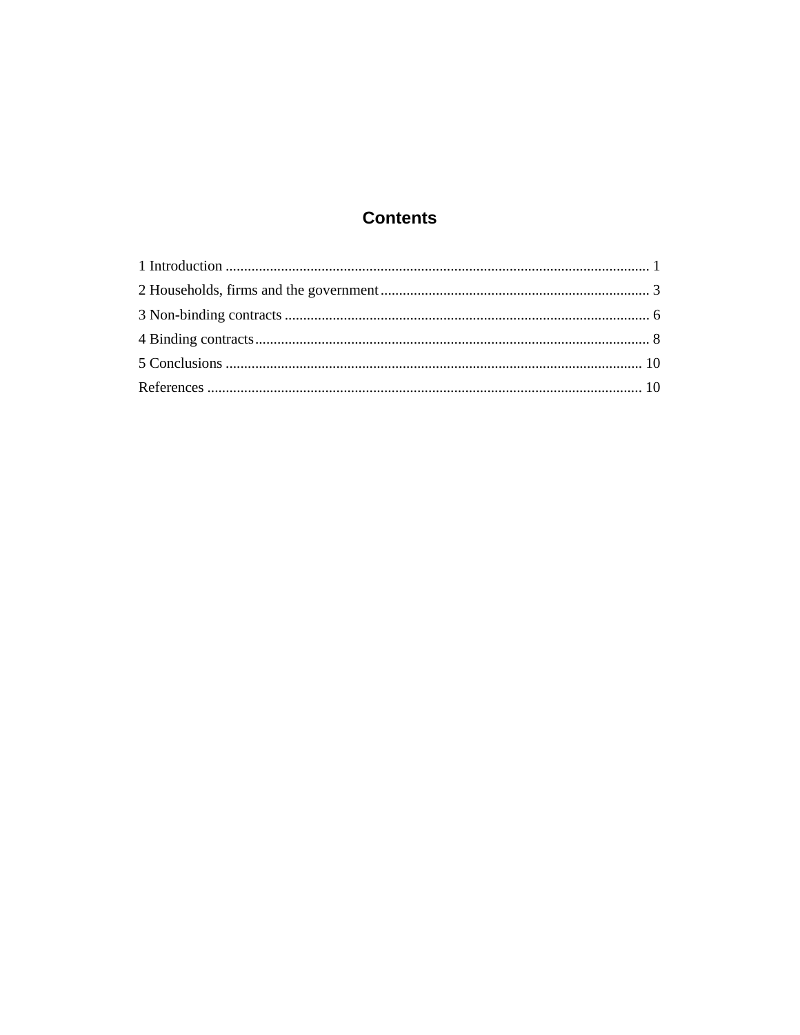### **Contents**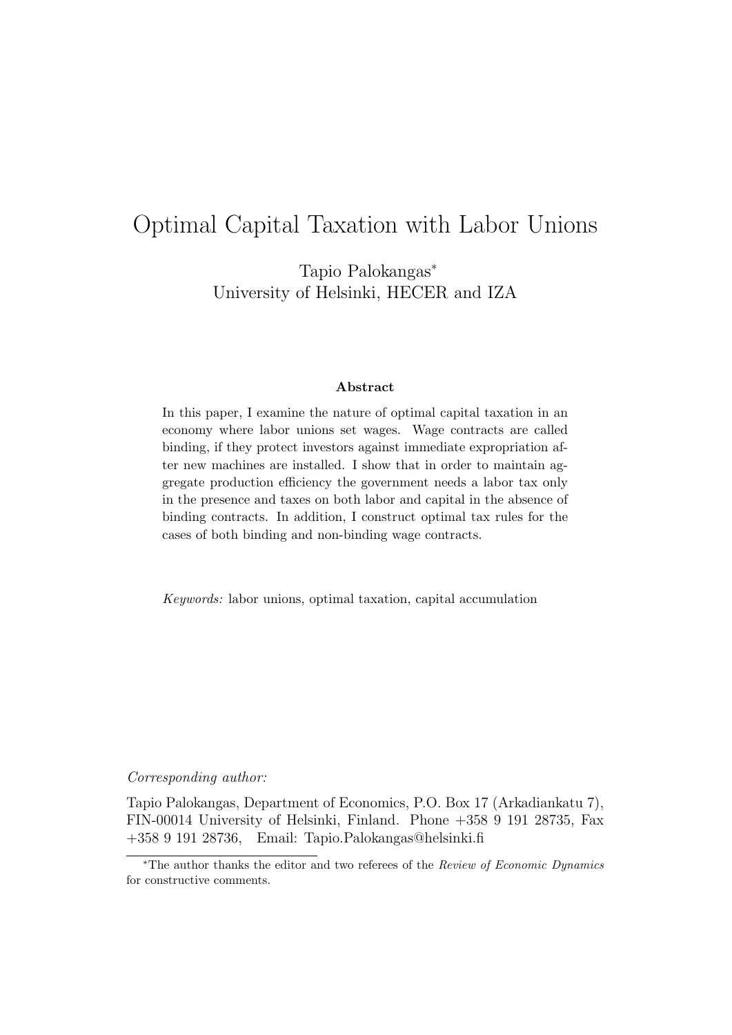# Optimal Capital Taxation with Labor Unions

Tapio Palokangas<sup>∗</sup> University of Helsinki, HECER and IZA

#### **Abstract**

In this paper, I examine the nature of optimal capital taxation in an economy where labor unions set wages. Wage contracts are called binding, if they protect investors against immediate expropriation after new machines are installed. I show that in order to maintain aggregate production efficiency the government needs a labor tax only in the presence and taxes on both labor and capital in the absence of binding contracts. In addition, I construct optimal tax rules for the cases of both binding and non-binding wage contracts.

Keywords: labor unions, optimal taxation, capital accumulation

#### Corresponding author:

Tapio Palokangas, Department of Economics, P.O. Box 17 (Arkadiankatu 7), FIN-00014 University of Helsinki, Finland. Phone +358 9 191 28735, Fax +358 9 191 28736, Email: Tapio.Palokangas@helsinki.fi

<sup>∗</sup>The author thanks the editor and two referees of the Review of Economic Dynamics for constructive comments.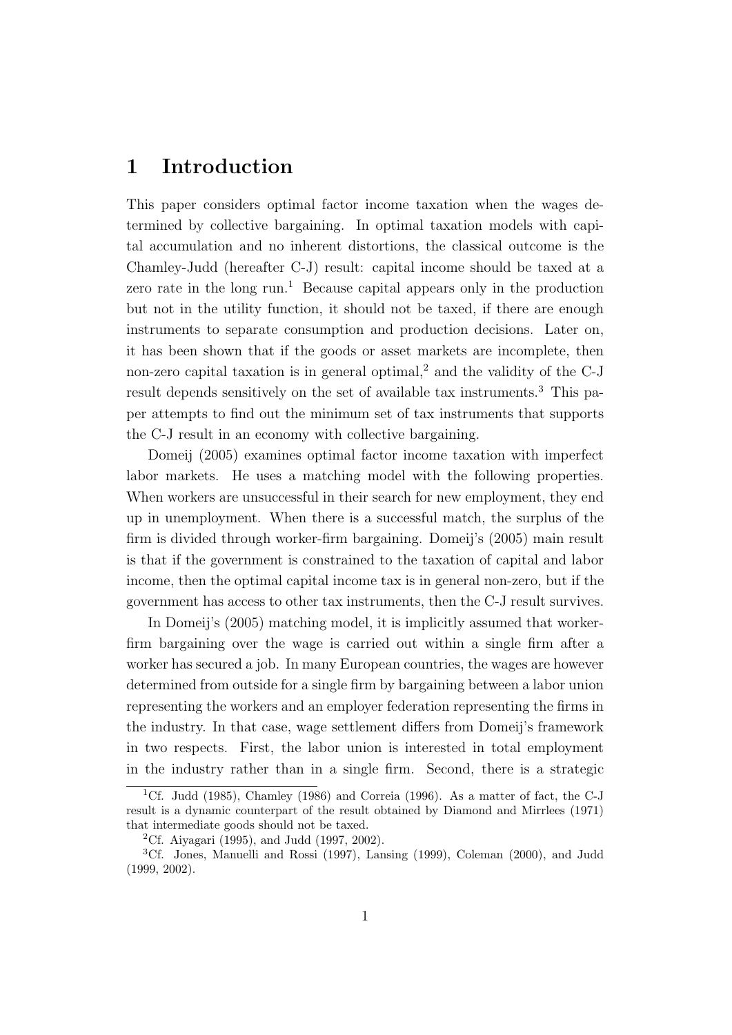## **1 Introduction**

This paper considers optimal factor income taxation when the wages determined by collective bargaining. In optimal taxation models with capital accumulation and no inherent distortions, the classical outcome is the Chamley-Judd (hereafter C-J) result: capital income should be taxed at a zero rate in the long run.<sup>1</sup> Because capital appears only in the production but not in the utility function, it should not be taxed, if there are enough instruments to separate consumption and production decisions. Later on, it has been shown that if the goods or asset markets are incomplete, then non-zero capital taxation is in general optimal,<sup>2</sup> and the validity of the  $C-J$ result depends sensitively on the set of available tax instruments.<sup>3</sup> This paper attempts to find out the minimum set of tax instruments that supports the C-J result in an economy with collective bargaining.

Domeij (2005) examines optimal factor income taxation with imperfect labor markets. He uses a matching model with the following properties. When workers are unsuccessful in their search for new employment, they end up in unemployment. When there is a successful match, the surplus of the firm is divided through worker-firm bargaining. Domeij's (2005) main result is that if the government is constrained to the taxation of capital and labor income, then the optimal capital income tax is in general non-zero, but if the government has access to other tax instruments, then the C-J result survives.

In Domeij's (2005) matching model, it is implicitly assumed that workerfirm bargaining over the wage is carried out within a single firm after a worker has secured a job. In many European countries, the wages are however determined from outside for a single firm by bargaining between a labor union representing the workers and an employer federation representing the firms in the industry. In that case, wage settlement differs from Domeij's framework in two respects. First, the labor union is interested in total employment in the industry rather than in a single firm. Second, there is a strategic

<sup>&</sup>lt;sup>1</sup>Cf. Judd (1985), Chamley (1986) and Correia (1996). As a matter of fact, the C-J result is a dynamic counterpart of the result obtained by Diamond and Mirrlees (1971) that intermediate goods should not be taxed.

<sup>&</sup>lt;sup>2</sup>Cf. Aiyagari (1995), and Judd (1997, 2002).

<sup>3</sup>Cf. Jones, Manuelli and Rossi (1997), Lansing (1999), Coleman (2000), and Judd (1999, 2002).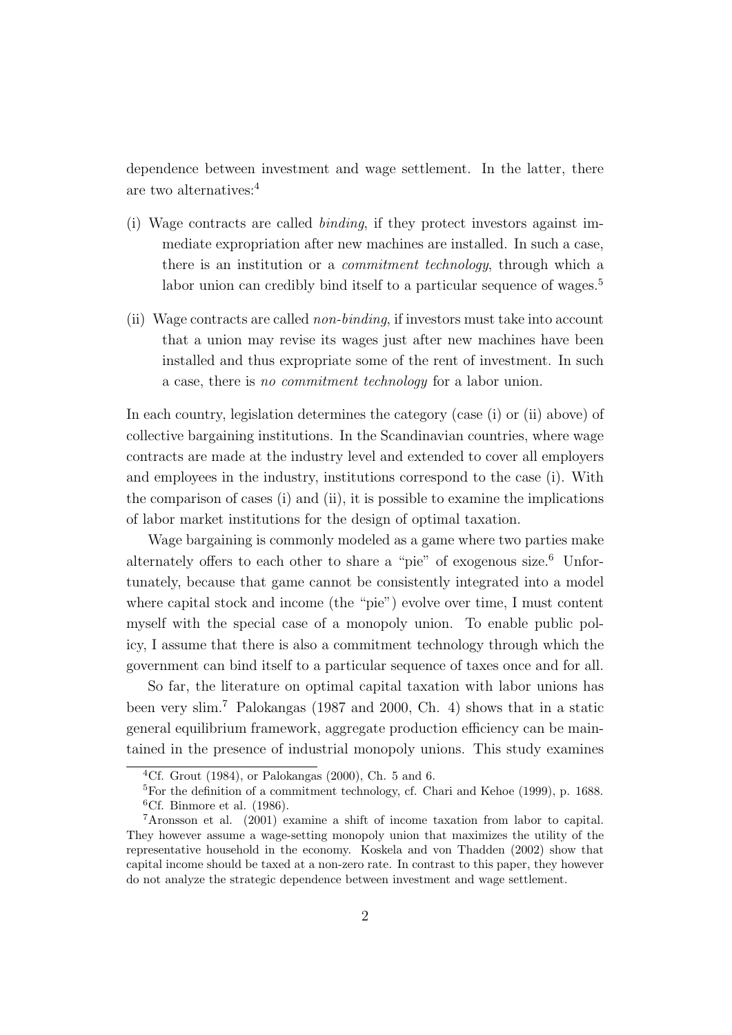dependence between investment and wage settlement. In the latter, there are two alternatives:<sup>4</sup>

- (i) Wage contracts are called binding, if they protect investors against immediate expropriation after new machines are installed. In such a case, there is an institution or a commitment technology, through which a labor union can credibly bind itself to a particular sequence of wages.<sup>5</sup>
- (ii) Wage contracts are called non-binding, if investors must take into account that a union may revise its wages just after new machines have been installed and thus expropriate some of the rent of investment. In such a case, there is no commitment technology for a labor union.

In each country, legislation determines the category (case (i) or (ii) above) of collective bargaining institutions. In the Scandinavian countries, where wage contracts are made at the industry level and extended to cover all employers and employees in the industry, institutions correspond to the case (i). With the comparison of cases (i) and (ii), it is possible to examine the implications of labor market institutions for the design of optimal taxation.

Wage bargaining is commonly modeled as a game where two parties make alternately offers to each other to share a "pie" of exogenous size.<sup>6</sup> Unfortunately, because that game cannot be consistently integrated into a model where capital stock and income (the "pie") evolve over time, I must content myself with the special case of a monopoly union. To enable public policy, I assume that there is also a commitment technology through which the government can bind itself to a particular sequence of taxes once and for all.

So far, the literature on optimal capital taxation with labor unions has been very slim.<sup>7</sup> Palokangas (1987 and 2000, Ch. 4) shows that in a static general equilibrium framework, aggregate production efficiency can be maintained in the presence of industrial monopoly unions. This study examines

<sup>&</sup>lt;sup>4</sup>Cf. Grout (1984), or Palokangas (2000), Ch. 5 and 6.

 ${}^{5}$ For the definition of a commitment technology, cf. Chari and Kehoe (1999), p. 1688.  ${}^{6}$ Cf. Binmore et al. (1986).

<sup>7</sup>Aronsson et al. (2001) examine a shift of income taxation from labor to capital. They however assume a wage-setting monopoly union that maximizes the utility of the representative household in the economy. Koskela and von Thadden (2002) show that capital income should be taxed at a non-zero rate. In contrast to this paper, they however do not analyze the strategic dependence between investment and wage settlement.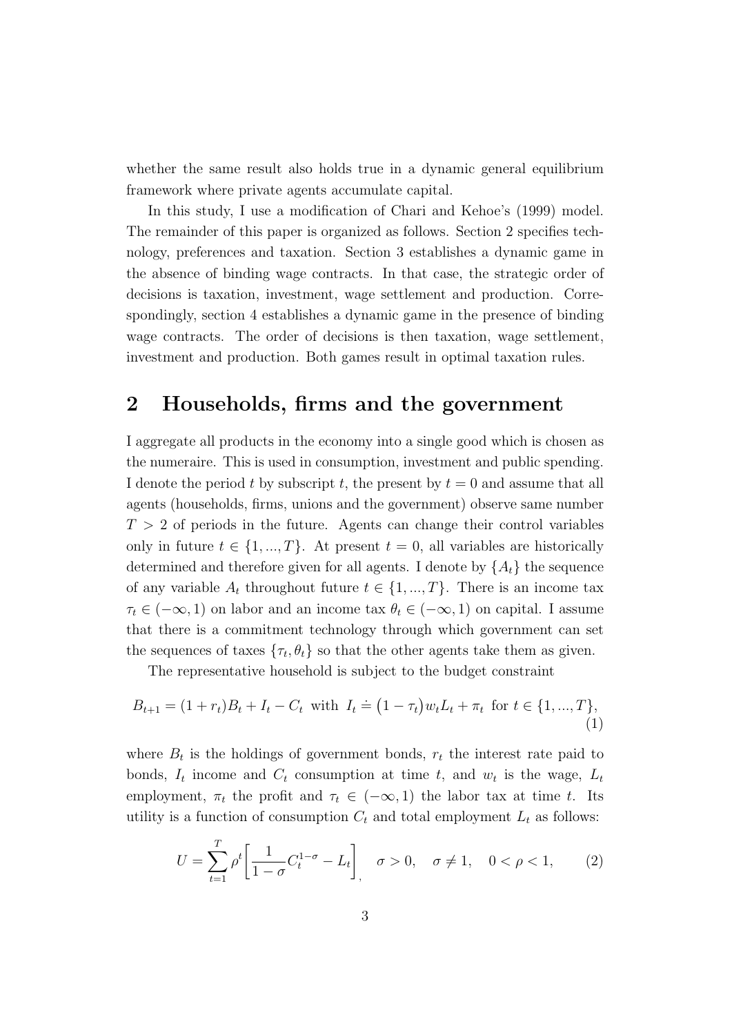whether the same result also holds true in a dynamic general equilibrium framework where private agents accumulate capital.

In this study, I use a modification of Chari and Kehoe's (1999) model. The remainder of this paper is organized as follows. Section 2 specifies technology, preferences and taxation. Section 3 establishes a dynamic game in the absence of binding wage contracts. In that case, the strategic order of decisions is taxation, investment, wage settlement and production. Correspondingly, section 4 establishes a dynamic game in the presence of binding wage contracts. The order of decisions is then taxation, wage settlement, investment and production. Both games result in optimal taxation rules.

## **2 Households, firms and the government**

I aggregate all products in the economy into a single good which is chosen as the numeraire. This is used in consumption, investment and public spending. I denote the period t by subscript t, the present by  $t = 0$  and assume that all agents (households, firms, unions and the government) observe same number  $T > 2$  of periods in the future. Agents can change their control variables only in future  $t \in \{1, ..., T\}$ . At present  $t = 0$ , all variables are historically determined and therefore given for all agents. I denote by  $\{A_t\}$  the sequence of any variable  $A_t$  throughout future  $t \in \{1, ..., T\}$ . There is an income tax  $\tau_t \in (-\infty, 1)$  on labor and an income tax  $\theta_t \in (-\infty, 1)$  on capital. I assume that there is a commitment technology through which government can set the sequences of taxes  $\{\tau_t, \theta_t\}$  so that the other agents take them as given.

The representative household is subject to the budget constraint

$$
B_{t+1} = (1 + r_t)B_t + I_t - C_t \text{ with } I_t = (1 - \tau_t)w_t L_t + \pi_t \text{ for } t \in \{1, ..., T\},\tag{1}
$$

where  $B_t$  is the holdings of government bonds,  $r_t$  the interest rate paid to bonds,  $I_t$  income and  $C_t$  consumption at time t, and  $w_t$  is the wage,  $L_t$ employment,  $\pi_t$  the profit and  $\tau_t \in (-\infty, 1)$  the labor tax at time t. Its utility is a function of consumption  $C_t$  and total employment  $L_t$  as follows:

$$
U = \sum_{t=1}^{T} \rho^t \left[ \frac{1}{1 - \sigma} C_t^{1 - \sigma} - L_t \right], \quad \sigma > 0, \quad \sigma \neq 1, \quad 0 < \rho < 1,
$$
 (2)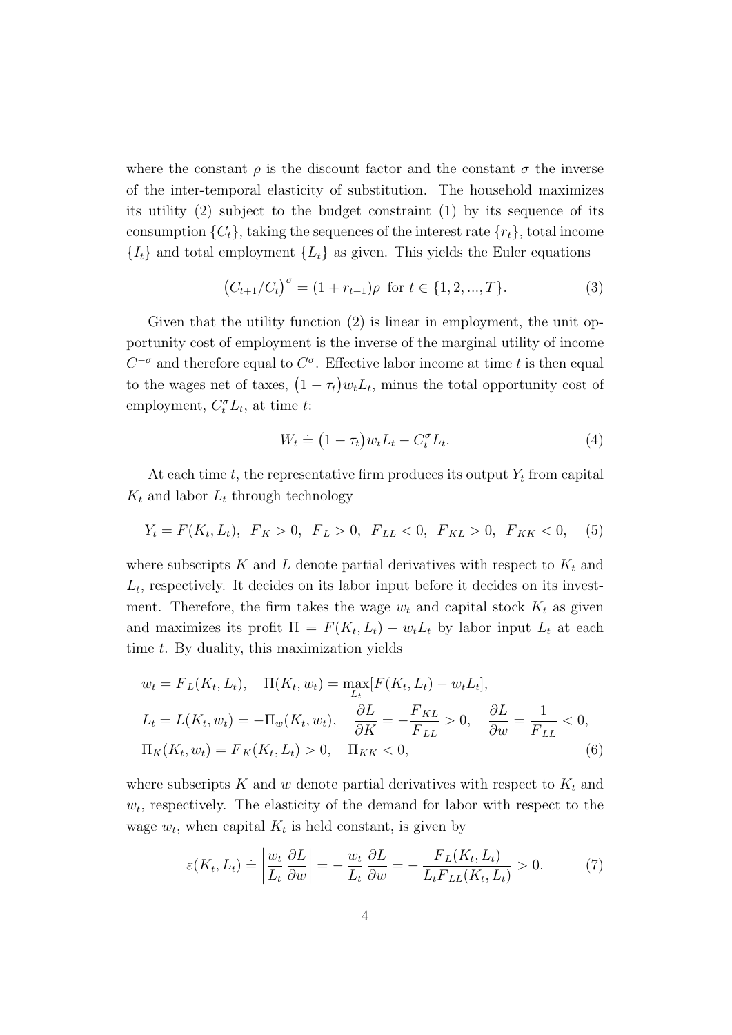where the constant  $\rho$  is the discount factor and the constant  $\sigma$  the inverse of the inter-temporal elasticity of substitution. The household maximizes its utility (2) subject to the budget constraint (1) by its sequence of its consumption  $\{C_t\}$ , taking the sequences of the interest rate  $\{r_t\}$ , total income  ${I_t}$  and total employment  ${L_t}$  as given. This yields the Euler equations

$$
(C_{t+1}/C_t)^{\sigma} = (1 + r_{t+1})\rho \text{ for } t \in \{1, 2, ..., T\}.
$$
 (3)

Given that the utility function (2) is linear in employment, the unit opportunity cost of employment is the inverse of the marginal utility of income  $C^{-\sigma}$  and therefore equal to  $C^{\sigma}$ . Effective labor income at time t is then equal to the wages net of taxes,  $(1 - \tau_t) w_t L_t$ , minus the total opportunity cost of employment,  $C_t^{\sigma} L_t$ , at time t:

$$
W_t \doteq (1 - \tau_t) w_t L_t - C_t^{\sigma} L_t.
$$
\n
$$
(4)
$$

At each time  $t$ , the representative firm produces its output  $Y_t$  from capital  $K_t$  and labor  $L_t$  through technology

$$
Y_t = F(K_t, L_t), \ F_K > 0, \ F_L > 0, \ F_{LL} < 0, \ F_{KL} > 0, \ F_{KK} < 0, \tag{5}
$$

where subscripts  $K$  and  $L$  denote partial derivatives with respect to  $K_t$  and  $L_t$ , respectively. It decides on its labor input before it decides on its investment. Therefore, the firm takes the wage  $w_t$  and capital stock  $K_t$  as given and maximizes its profit  $\Pi = F(K_t, L_t) - w_t L_t$  by labor input  $L_t$  at each time t. By duality, this maximization yields

$$
w_t = F_L(K_t, L_t), \quad \Pi(K_t, w_t) = \max_{L_t} [F(K_t, L_t) - w_t L_t],
$$
  
\n
$$
L_t = L(K_t, w_t) = -\Pi_w(K_t, w_t), \quad \frac{\partial L}{\partial K} = -\frac{F_{KL}}{F_{LL}} > 0, \quad \frac{\partial L}{\partial w} = \frac{1}{F_{LL}} < 0,
$$
  
\n
$$
\Pi_K(K_t, w_t) = F_K(K_t, L_t) > 0, \quad \Pi_{KK} < 0,
$$
\n(6)

where subscripts K and w denote partial derivatives with respect to  $K_t$  and  $w_t$ , respectively. The elasticity of the demand for labor with respect to the wage  $w_t$ , when capital  $K_t$  is held constant, is given by

$$
\varepsilon(K_t, L_t) \doteq \left| \frac{w_t}{L_t} \frac{\partial L}{\partial w} \right| = -\frac{w_t}{L_t} \frac{\partial L}{\partial w} = -\frac{F_L(K_t, L_t)}{L_t F_{LL}(K_t, L_t)} > 0. \tag{7}
$$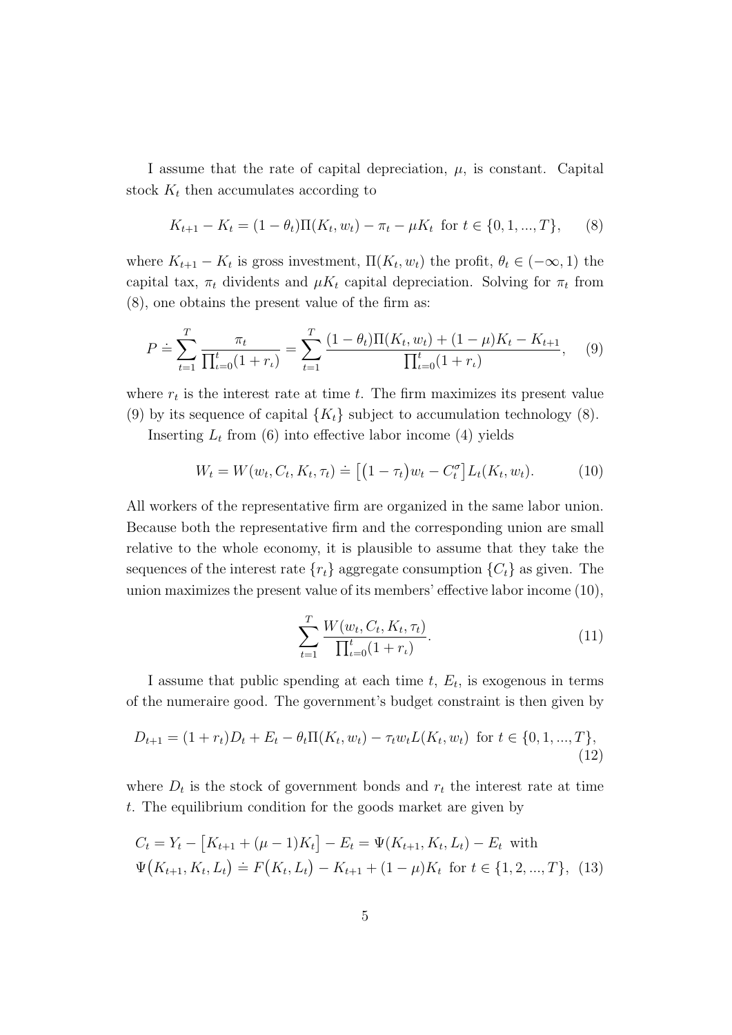I assume that the rate of capital depreciation,  $\mu$ , is constant. Capital stock  $K_t$  then accumulates according to

$$
K_{t+1} - K_t = (1 - \theta_t) \Pi(K_t, w_t) - \pi_t - \mu K_t \text{ for } t \in \{0, 1, ..., T\},
$$
 (8)

where  $K_{t+1} - K_t$  is gross investment,  $\Pi(K_t, w_t)$  the profit,  $\theta_t \in (-\infty, 1)$  the capital tax,  $\pi_t$  dividents and  $\mu K_t$  capital depreciation. Solving for  $\pi_t$  from (8), one obtains the present value of the firm as:

$$
P \doteq \sum_{t=1}^{T} \frac{\pi_t}{\prod_{t=0}^t (1+r_t)} = \sum_{t=1}^{T} \frac{(1-\theta_t)\Pi(K_t, w_t) + (1-\mu)K_t - K_{t+1}}{\prod_{t=0}^t (1+r_t)},\tag{9}
$$

where  $r_t$  is the interest rate at time t. The firm maximizes its present value (9) by its sequence of capital  ${K_t}$  subject to accumulation technology (8).

Inserting  $L_t$  from (6) into effective labor income (4) yields

$$
W_t = W(w_t, C_t, K_t, \tau_t) \doteq \left[ \left( 1 - \tau_t \right) w_t - C_t^{\sigma} \right] L_t(K_t, w_t). \tag{10}
$$

All workers of the representative firm are organized in the same labor union. Because both the representative firm and the corresponding union are small relative to the whole economy, it is plausible to assume that they take the sequences of the interest rate  $\{r_t\}$  aggregate consumption  $\{C_t\}$  as given. The union maximizes the present value of its members' effective labor income (10),

$$
\sum_{t=1}^{T} \frac{W(w_t, C_t, K_t, \tau_t)}{\prod_{t=0}^{t} (1+r_t)}.
$$
\n(11)

I assume that public spending at each time  $t, E_t$ , is exogenous in terms of the numeraire good. The government's budget constraint is then given by

$$
D_{t+1} = (1 + r_t)D_t + E_t - \theta_t \Pi(K_t, w_t) - \tau_t w_t L(K_t, w_t) \text{ for } t \in \{0, 1, ..., T\},\tag{12}
$$

where  $D_t$  is the stock of government bonds and  $r_t$  the interest rate at time t. The equilibrium condition for the goods market are given by

$$
C_t = Y_t - [K_{t+1} + (\mu - 1)K_t] - E_t = \Psi(K_{t+1}, K_t, L_t) - E_t \text{ with}
$$
  

$$
\Psi(K_{t+1}, K_t, L_t) \doteq F(K_t, L_t) - K_{t+1} + (1 - \mu)K_t \text{ for } t \in \{1, 2, ..., T\},
$$
 (13)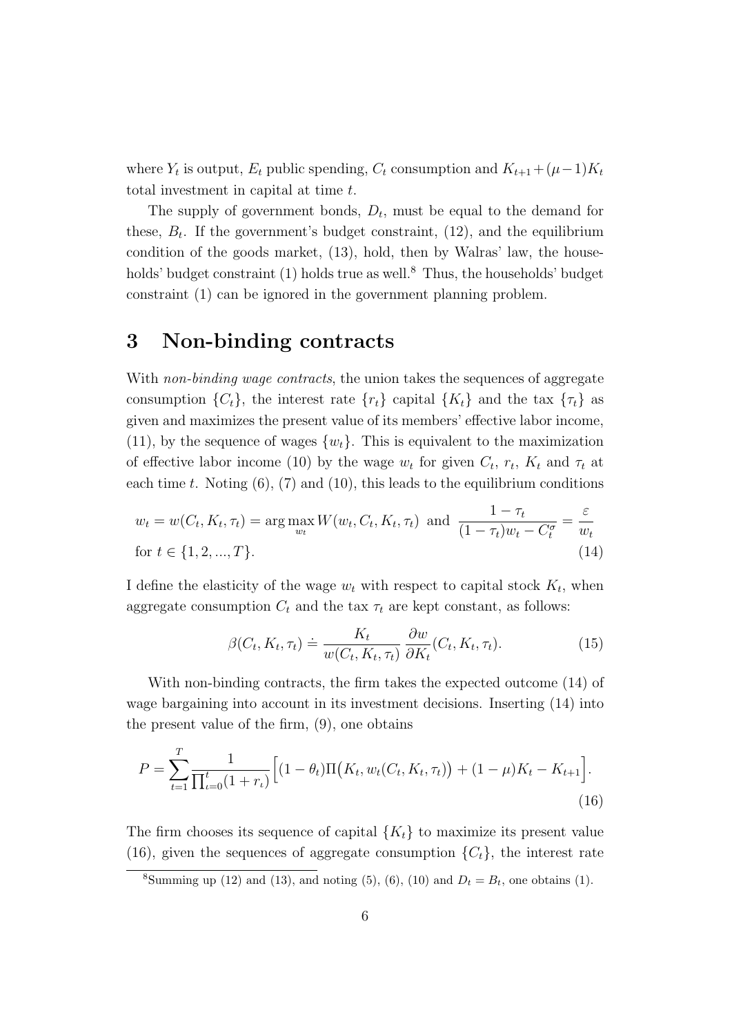where  $Y_t$  is output,  $E_t$  public spending,  $C_t$  consumption and  $K_{t+1} + (\mu - 1)K_t$ total investment in capital at time t.

The supply of government bonds,  $D_t$ , must be equal to the demand for these,  $B_t$ . If the government's budget constraint, (12), and the equilibrium condition of the goods market, (13), hold, then by Walras' law, the households' budget constraint  $(1)$  holds true as well.<sup>8</sup> Thus, the households' budget constraint (1) can be ignored in the government planning problem.

## **3 Non-binding contracts**

With non-binding wage contracts, the union takes the sequences of aggregate consumption  $\{C_t\}$ , the interest rate  $\{r_t\}$  capital  $\{K_t\}$  and the tax  $\{\tau_t\}$  as given and maximizes the present value of its members' effective labor income, (11), by the sequence of wages  $\{w_t\}$ . This is equivalent to the maximization of effective labor income (10) by the wage  $w_t$  for given  $C_t$ ,  $r_t$ ,  $K_t$  and  $\tau_t$  at each time t. Noting  $(6)$ ,  $(7)$  and  $(10)$ , this leads to the equilibrium conditions

$$
w_t = w(C_t, K_t, \tau_t) = \arg \max_{w_t} W(w_t, C_t, K_t, \tau_t) \text{ and } \frac{1 - \tau_t}{(1 - \tau_t)w_t - C_t^{\sigma}} = \frac{\varepsilon}{w_t}
$$
  
for  $t \in \{1, 2, ..., T\}.$  (14)

I define the elasticity of the wage  $w_t$  with respect to capital stock  $K_t$ , when aggregate consumption  $C_t$  and the tax  $\tau_t$  are kept constant, as follows:

$$
\beta(C_t, K_t, \tau_t) \doteq \frac{K_t}{w(C_t, K_t, \tau_t)} \frac{\partial w}{\partial K_t}(C_t, K_t, \tau_t). \tag{15}
$$

With non-binding contracts, the firm takes the expected outcome (14) of wage bargaining into account in its investment decisions. Inserting (14) into the present value of the firm, (9), one obtains

$$
P = \sum_{t=1}^{T} \frac{1}{\prod_{t=0}^{t} (1+r_t)} \Big[ (1-\theta_t) \Pi\big(K_t, w_t(C_t, K_t, \tau_t)\big) + (1-\mu) K_t - K_{t+1} \Big].
$$
\n(16)

The firm chooses its sequence of capital  ${K_t}$  to maximize its present value (16), given the sequences of aggregate consumption  $\{C_t\}$ , the interest rate

<sup>&</sup>lt;sup>8</sup>Summing up (12) and (13), and noting (5), (6), (10) and  $D_t = B_t$ , one obtains (1).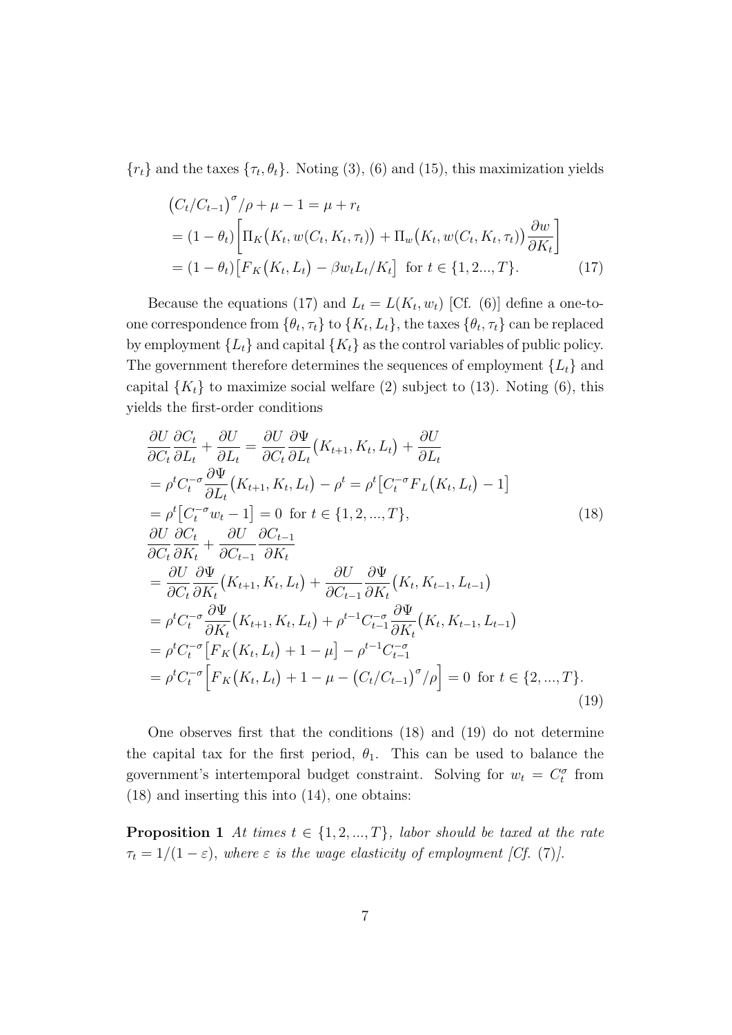${r_t}$  and the taxes  ${\tau_t, \theta_t}$ . Noting (3), (6) and (15), this maximization yields

$$
(C_t/C_{t-1})^{\sigma}/\rho + \mu - 1 = \mu + r_t
$$
  
=  $(1 - \theta_t) \left[ \Pi_K(K_t, w(C_t, K_t, \tau_t)) + \Pi_w(K_t, w(C_t, K_t, \tau_t)) \frac{\partial w}{\partial K_t} \right]$   
=  $(1 - \theta_t) \left[ F_K(K_t, L_t) - \beta w_t L_t / K_t \right]$  for  $t \in \{1, 2, ..., T\}$ . (17)

Because the equations (17) and  $L_t = L(K_t, w_t)$  [Cf. (6)] define a one-toone correspondence from  $\{\theta_t, \tau_t\}$  to  $\{K_t, L_t\}$ , the taxes  $\{\theta_t, \tau_t\}$  can be replaced by employment  ${L_t}$  and capital  ${K_t}$  as the control variables of public policy. The government therefore determines the sequences of employment  $\{L_t\}$  and capital  $\{K_t\}$  to maximize social welfare (2) subject to (13). Noting (6), this yields the first-order conditions

$$
\frac{\partial U}{\partial C_t} \frac{\partial C_t}{\partial L_t} + \frac{\partial U}{\partial L_t} = \frac{\partial U}{\partial C_t} \frac{\partial \Psi}{\partial L_t} (K_{t+1}, K_t, L_t) + \frac{\partial U}{\partial L_t}
$$
\n
$$
= \rho^t C_t^{-\sigma} \frac{\partial \Psi}{\partial L_t} (K_{t+1}, K_t, L_t) - \rho^t = \rho^t [C_t^{-\sigma} F_L (K_t, L_t) - 1]
$$
\n
$$
= \rho^t [C_t^{-\sigma} w_t - 1] = 0 \text{ for } t \in \{1, 2, ..., T\},
$$
\n
$$
\frac{\partial U}{\partial C_t} \frac{\partial C_t}{\partial K_t} + \frac{\partial U}{\partial C_{t-1}} \frac{\partial C_{t-1}}{\partial K_t}
$$
\n
$$
= \frac{\partial U}{\partial C_t} \frac{\partial \Psi}{\partial K_t} (K_{t+1}, K_t, L_t) + \frac{\partial U}{\partial C_{t-1}} \frac{\partial \Psi}{\partial K_t} (K_t, K_{t-1}, L_{t-1})
$$
\n
$$
= \rho^t C_t^{-\sigma} \frac{\partial \Psi}{\partial K_t} (K_{t+1}, K_t, L_t) + \rho^{t-1} C_{t-1}^{-\sigma} \frac{\partial \Psi}{\partial K_t} (K_t, K_{t-1}, L_{t-1})
$$
\n
$$
= \rho^t C_t^{-\sigma} [F_K (K_t, L_t) + 1 - \mu] - \rho^{t-1} C_{t-1}^{-\sigma}
$$
\n
$$
= \rho^t C_t^{-\sigma} [F_K (K_t, L_t) + 1 - \mu - (C_t/C_{t-1})^{\sigma}/\rho] = 0 \text{ for } t \in \{2, ..., T\}.
$$
\n(19)

One observes first that the conditions (18) and (19) do not determine the capital tax for the first period,  $\theta_1$ . This can be used to balance the government's intertemporal budget constraint. Solving for  $w_t = C_t^{\sigma}$  from (18) and inserting this into (14), one obtains:

**Proposition 1** At times  $t \in \{1, 2, ..., T\}$ , labor should be taxed at the rate  $\tau_t = 1/(1 - \varepsilon)$ , where  $\varepsilon$  is the wage elasticity of employment [Cf. (7)].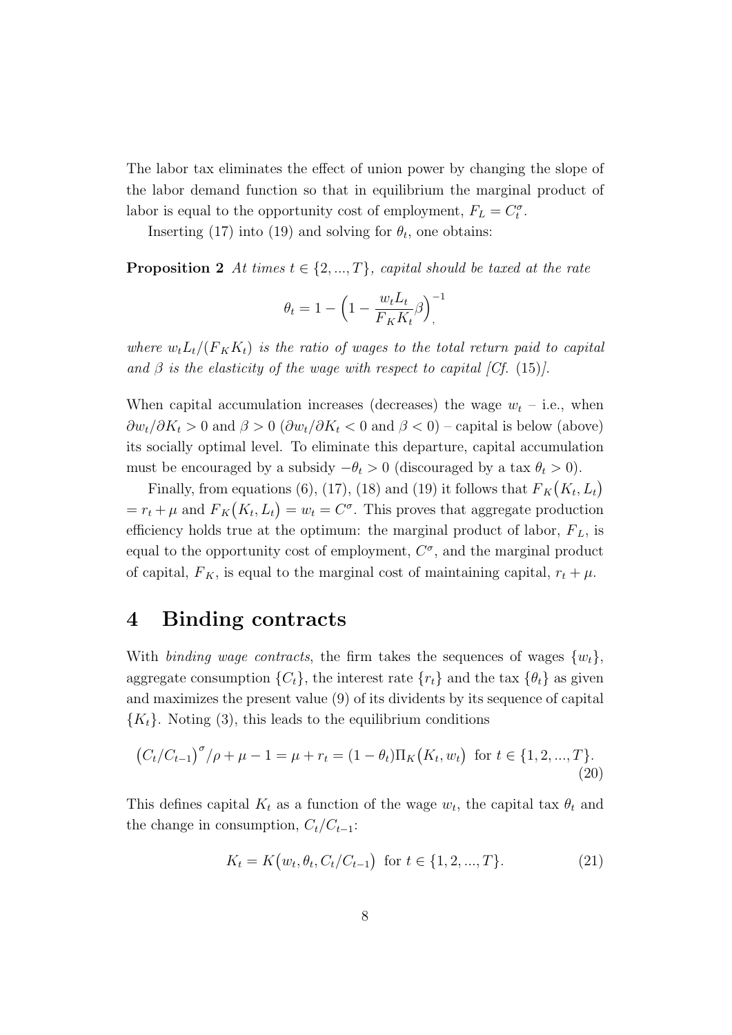The labor tax eliminates the effect of union power by changing the slope of the labor demand function so that in equilibrium the marginal product of labor is equal to the opportunity cost of employment,  $F_L = C_t^{\sigma}$ .

Inserting (17) into (19) and solving for  $\theta_t$ , one obtains:

**Proposition 2** At times  $t \in \{2, ..., T\}$ , capital should be taxed at the rate

$$
\theta_t = 1 - \left(1 - \frac{w_t L_t}{F_K K_t} \beta\right)^{-1}
$$

where  $w_t L_t/(F_K K_t)$  is the ratio of wages to the total return paid to capital and  $\beta$  is the elasticity of the wage with respect to capital [Cf. (15)].

When capital accumulation increases (decreases) the wage  $w_t$  – i.e., when  $\frac{\partial w_t}{\partial K_t} > 0$  and  $\beta > 0$  ( $\frac{\partial w_t}{\partial K_t} < 0$  and  $\beta < 0$ ) – capital is below (above) its socially optimal level. To eliminate this departure, capital accumulation must be encouraged by a subsidy  $-\theta_t > 0$  (discouraged by a tax  $\theta_t > 0$ ).

Finally, from equations (6), (17), (18) and (19) it follows that  $F_K(K_t, L_t)$  $= r_t + \mu$  and  $F_K(K_t, L_t) = w_t = C^{\sigma}$ . This proves that aggregate production efficiency holds true at the optimum: the marginal product of labor,  $F_L$ , is equal to the opportunity cost of employment,  $C^{\sigma}$ , and the marginal product of capital,  $F_K$ , is equal to the marginal cost of maintaining capital,  $r_t + \mu$ .

## **4 Binding contracts**

With binding wage contracts, the firm takes the sequences of wages  $\{w_t\}$ , aggregate consumption  $\{C_t\}$ , the interest rate  $\{r_t\}$  and the tax  $\{\theta_t\}$  as given and maximizes the present value (9) of its dividents by its sequence of capital  ${K<sub>t</sub>}$ . Noting (3), this leads to the equilibrium conditions

$$
(C_t/C_{t-1})^{\sigma}/\rho + \mu - 1 = \mu + r_t = (1 - \theta_t)\Pi_K(K_t, w_t) \text{ for } t \in \{1, 2, ..., T\}.
$$
\n(20)

This defines capital  $K_t$  as a function of the wage  $w_t$ , the capital tax  $\theta_t$  and the change in consumption,  $C_t/C_{t-1}$ :

$$
K_t = K(w_t, \theta_t, C_t/C_{t-1}) \text{ for } t \in \{1, 2, ..., T\}. \tag{21}
$$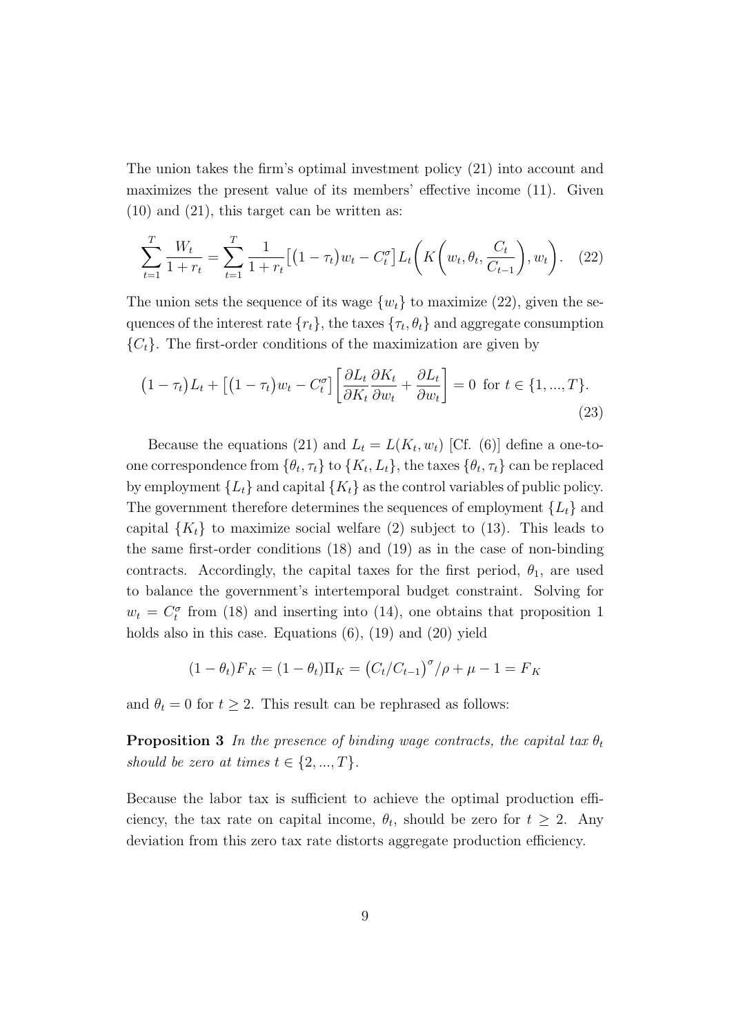The union takes the firm's optimal investment policy (21) into account and maximizes the present value of its members' effective income (11). Given (10) and (21), this target can be written as:

$$
\sum_{t=1}^{T} \frac{W_t}{1+r_t} = \sum_{t=1}^{T} \frac{1}{1+r_t} \left[ \left(1-\tau_t\right) w_t - C_t^{\sigma} \right] L_t \left( K \left(w_t, \theta_t, \frac{C_t}{C_{t-1}}\right), w_t \right). \tag{22}
$$

The union sets the sequence of its wage  $\{w_t\}$  to maximize (22), given the sequences of the interest rate  $\{r_t\}$ , the taxes  $\{\tau_t, \theta_t\}$  and aggregate consumption  ${C<sub>t</sub>}$ . The first-order conditions of the maximization are given by

$$
(1 - \tau_t)L_t + \left[ (1 - \tau_t)w_t - C_t^{\sigma} \right] \left[ \frac{\partial L_t}{\partial K_t} \frac{\partial K_t}{\partial w_t} + \frac{\partial L_t}{\partial w_t} \right] = 0 \text{ for } t \in \{1, ..., T\}. \tag{23}
$$

Because the equations (21) and  $L_t = L(K_t, w_t)$  [Cf. (6)] define a one-toone correspondence from  $\{\theta_t, \tau_t\}$  to  $\{K_t, L_t\}$ , the taxes  $\{\theta_t, \tau_t\}$  can be replaced by employment  $\{L_t\}$  and capital  $\{K_t\}$  as the control variables of public policy. The government therefore determines the sequences of employment  $\{L_t\}$  and capital  $\{K_t\}$  to maximize social welfare (2) subject to (13). This leads to the same first-order conditions (18) and (19) as in the case of non-binding contracts. Accordingly, the capital taxes for the first period,  $\theta_1$ , are used to balance the government's intertemporal budget constraint. Solving for  $w_t = C_t^{\sigma}$  from (18) and inserting into (14), one obtains that proposition 1 holds also in this case. Equations  $(6)$ ,  $(19)$  and  $(20)$  yield

$$
(1 - \theta_t)F_K = (1 - \theta_t)\Pi_K = (C_t/C_{t-1})^{\sigma}/\rho + \mu - 1 = F_K
$$

and  $\theta_t = 0$  for  $t \geq 2$ . This result can be rephrased as follows:

**Proposition 3** In the presence of binding wage contracts, the capital tax  $\theta_t$ should be zero at times  $t \in \{2, ..., T\}$ .

Because the labor tax is sufficient to achieve the optimal production efficiency, the tax rate on capital income,  $\theta_t$ , should be zero for  $t \geq 2$ . Any deviation from this zero tax rate distorts aggregate production efficiency.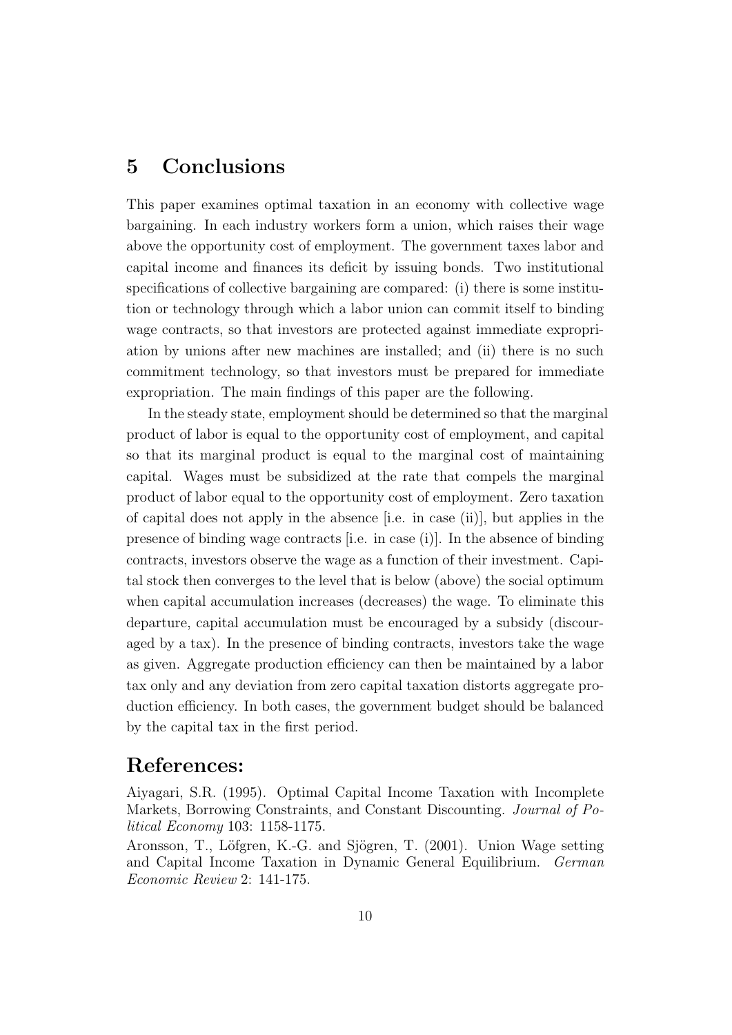## **5 Conclusions**

This paper examines optimal taxation in an economy with collective wage bargaining. In each industry workers form a union, which raises their wage above the opportunity cost of employment. The government taxes labor and capital income and finances its deficit by issuing bonds. Two institutional specifications of collective bargaining are compared: (i) there is some institution or technology through which a labor union can commit itself to binding wage contracts, so that investors are protected against immediate expropriation by unions after new machines are installed; and (ii) there is no such commitment technology, so that investors must be prepared for immediate expropriation. The main findings of this paper are the following.

In the steady state, employment should be determined so that the marginal product of labor is equal to the opportunity cost of employment, and capital so that its marginal product is equal to the marginal cost of maintaining capital. Wages must be subsidized at the rate that compels the marginal product of labor equal to the opportunity cost of employment. Zero taxation of capital does not apply in the absence [i.e. in case (ii)], but applies in the presence of binding wage contracts [i.e. in case (i)]. In the absence of binding contracts, investors observe the wage as a function of their investment. Capital stock then converges to the level that is below (above) the social optimum when capital accumulation increases (decreases) the wage. To eliminate this departure, capital accumulation must be encouraged by a subsidy (discouraged by a tax). In the presence of binding contracts, investors take the wage as given. Aggregate production efficiency can then be maintained by a labor tax only and any deviation from zero capital taxation distorts aggregate production efficiency. In both cases, the government budget should be balanced by the capital tax in the first period.

### **References:**

Aiyagari, S.R. (1995). Optimal Capital Income Taxation with Incomplete Markets, Borrowing Constraints, and Constant Discounting. Journal of Political Economy 103: 1158-1175.

Aronsson, T., Löfgren, K.-G. and Sjögren, T. (2001). Union Wage setting and Capital Income Taxation in Dynamic General Equilibrium. German Economic Review 2: 141-175.